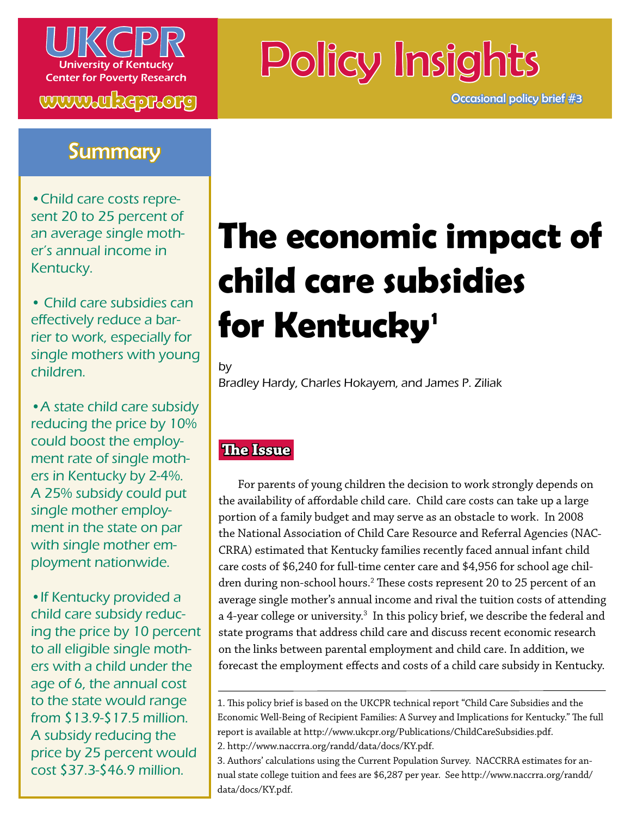

**www.ukcpr.org**

## **Summary**

•Child care costs represent 20 to 25 percent of an average single mother's annual income in Kentucky.

• Child care subsidies can effectively reduce a barrier to work, especially for single mothers with young children.

•A state child care subsidy reducing the price by 10% could boost the employment rate of single mothers in Kentucky by 2-4%. A 25% subsidy could put single mother employment in the state on par with single mother employment nationwide.

• If Kentucky provided a child care subsidy reducing the price by 10 percent to all eligible single mothers with a child under the age of 6, the annual cost to the state would range from \$13.9-\$17.5 million. A subsidy reducing the price by 25 percent would cost \$37.3-\$46.9 million.

# Policy Insights

Occasional policy brief #3

## **The economic impact of child care subsidies for Kentucky 1**

by

Bradley Hardy, Charles Hokayem, and James P. Ziliak

## **The Issue**

 For parents of young children the decision to work strongly depends on the availability of affordable child care. Child care costs can take up a large portion of a family budget and may serve as an obstacle to work. In 2008 the National Association of Child Care Resource and Referral Agencies (NAC-CRRA) estimated that Kentucky families recently faced annual infant child care costs of \$6,240 for full-time center care and \$4,956 for school age children during non-school hours.<sup>2</sup> These costs represent 20 to 25 percent of an average single mother's annual income and rival the tuition costs of attending a 4-year college or university.<sup>3</sup> In this policy brief, we describe the federal and state programs that address child care and discuss recent economic research on the links between parental employment and child care. In addition, we forecast the employment effects and costs of a child care subsidy in Kentucky.

<sup>1.</sup> This policy brief is based on the UKCPR technical report "Child Care Subsidies and the Economic Well-Being of Recipient Families: A Survey and Implications for Kentucky." The full report is available at http://www.ukcpr.org/Publications/ChildCareSubsidies.pdf. 2. http://www.naccrra.org/randd/data/docs/KY.pdf.

<sup>3.</sup> Authors' calculations using the Current Population Survey. NACCRRA estimates for annual state college tuition and fees are \$6,287 per year. See http://www.naccrra.org/randd/ data/docs/KY.pdf.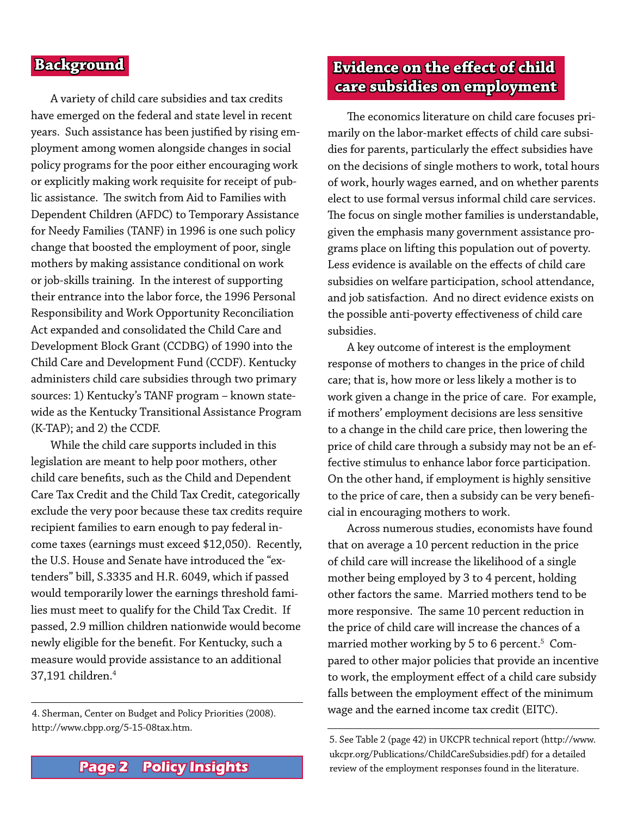#### **Background**

 A variety of child care subsidies and tax credits have emerged on the federal and state level in recent years. Such assistance has been justified by rising employment among women alongside changes in social policy programs for the poor either encouraging work or explicitly making work requisite for receipt of public assistance. The switch from Aid to Families with Dependent Children (AFDC) to Temporary Assistance for Needy Families (TANF) in 1996 is one such policy change that boosted the employment of poor, single mothers by making assistance conditional on work or job-skills training. In the interest of supporting their entrance into the labor force, the 1996 Personal Responsibility and Work Opportunity Reconciliation Act expanded and consolidated the Child Care and Development Block Grant (CCDBG) of 1990 into the Child Care and Development Fund (CCDF). Kentucky administers child care subsidies through two primary sources: 1) Kentucky's TANF program – known statewide as the Kentucky Transitional Assistance Program (K-TAP); and 2) the CCDF.

 While the child care supports included in this legislation are meant to help poor mothers, other child care benefits, such as the Child and Dependent Care Tax Credit and the Child Tax Credit, categorically exclude the very poor because these tax credits require recipient families to earn enough to pay federal income taxes (earnings must exceed \$12,050). Recently, the U.S. House and Senate have introduced the "extenders" bill, S.3335 and H.R. 6049, which if passed would temporarily lower the earnings threshold families must meet to qualify for the Child Tax Credit. If passed, 2.9 million children nationwide would become newly eligible for the benefit. For Kentucky, such a measure would provide assistance to an additional 37,191 children.4

http://www.cbpp.org/5-15-08tax.htm.

## **Evidence on the effect of child care subsidies on employment**

The economics literature on child care focuses primarily on the labor-market effects of child care subsidies for parents, particularly the effect subsidies have on the decisions of single mothers to work, total hours of work, hourly wages earned, and on whether parents elect to use formal versus informal child care services. The focus on single mother families is understandable, given the emphasis many government assistance programs place on lifting this population out of poverty. Less evidence is available on the effects of child care subsidies on welfare participation, school attendance, and job satisfaction. And no direct evidence exists on the possible anti-poverty effectiveness of child care subsidies.

 A key outcome of interest is the employment response of mothers to changes in the price of child care; that is, how more or less likely a mother is to work given a change in the price of care. For example, if mothers' employment decisions are less sensitive to a change in the child care price, then lowering the price of child care through a subsidy may not be an effective stimulus to enhance labor force participation. On the other hand, if employment is highly sensitive to the price of care, then a subsidy can be very beneficial in encouraging mothers to work.

 Across numerous studies, economists have found that on average a 10 percent reduction in the price of child care will increase the likelihood of a single mother being employed by 3 to 4 percent, holding other factors the same. Married mothers tend to be more responsive. The same 10 percent reduction in the price of child care will increase the chances of a married mother working by 5 to 6 percent. $^5\,$  Compared to other major policies that provide an incentive to work, the employment effect of a child care subsidy falls between the employment effect of the minimum wage and the earned income tax credit (EITC). 4. Sherman, Center on Budget and Policy Priorities (2008).

> 5. See Table 2 (page 42) in UKCPR technical report (http://www. ukcpr.org/Publications/ChildCareSubsidies.pdf) for a detailed review of the employment responses found in the literature.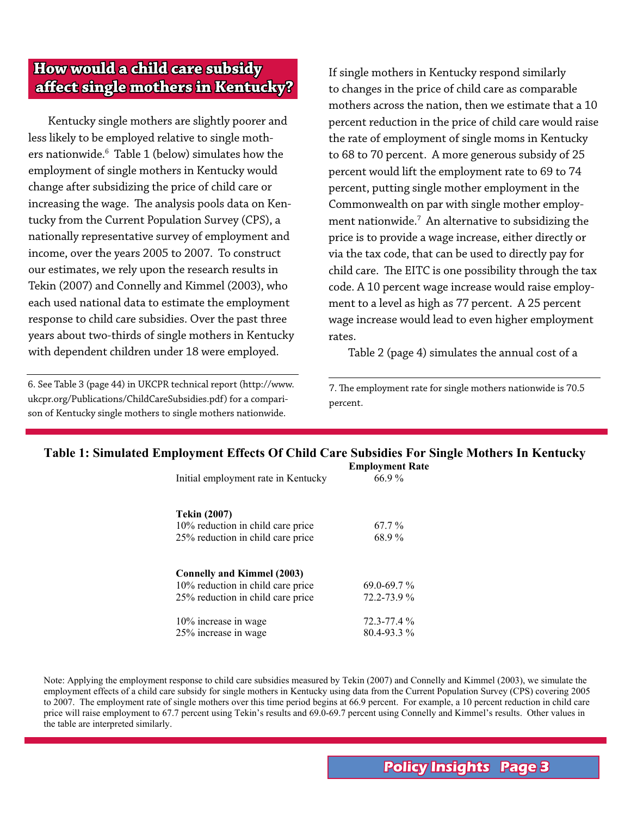## **How would a child care subsidy affect single mothers in Kentucky?**

 Kentucky single mothers are slightly poorer and less likely to be employed relative to single mothers nationwide. $^6\,$  Table 1 (below) simulates how the employment of single mothers in Kentucky would change after subsidizing the price of child care or increasing the wage. The analysis pools data on Kentucky from the Current Population Survey (CPS), a nationally representative survey of employment and income, over the years 2005 to 2007. To construct our estimates, we rely upon the research results in Tekin (2007) and Connelly and Kimmel (2003), who each used national data to estimate the employment response to child care subsidies. Over the past three years about two-thirds of single mothers in Kentucky with dependent children under 18 were employed.

6. See Table 3 (page 44) in UKCPR technical report (http://www. ukcpr.org/Publications/ChildCareSubsidies.pdf) for a comparison of Kentucky single mothers to single mothers nationwide.

If single mothers in Kentucky respond similarly to changes in the price of child care as comparable mothers across the nation, then we estimate that a 10 percent reduction in the price of child care would raise the rate of employment of single moms in Kentucky to 68 to 70 percent. A more generous subsidy of 25 percent would lift the employment rate to 69 to 74 percent, putting single mother employment in the Commonwealth on par with single mother employment nationwide. $^7\,$  An alternative to subsidizing the price is to provide a wage increase, either directly or via the tax code, that can be used to directly pay for child care. The EITC is one possibility through the tax code. A 10 percent wage increase would raise employment to a level as high as 77 percent. A 25 percent wage increase would lead to even higher employment rates.

 Table 2 (page 4) simulates the annual cost of a

7. The employment rate for single mothers nationwide is 70.5 percent.

#### **Table 1: Simulated Employment Effects Of Child Care Subsidies For Single Mothers In Kentucky Employment Rate**

| Initial employment rate in Kentucky | ешрюушені ка<br>66.9% |  |  |
|-------------------------------------|-----------------------|--|--|
| <b>Tekin (2007)</b>                 |                       |  |  |
| 10% reduction in child care price   | 67.7 %                |  |  |
| 25% reduction in child care price   | 68.9%                 |  |  |
| <b>Connelly and Kimmel (2003)</b>   |                       |  |  |
| 10% reduction in child care price   | $69.0 - 69.7 \%$      |  |  |
| 25% reduction in child care price   | 72.2-73.9%            |  |  |
| 10% increase in wage                | $72.3 - 77.4 \%$      |  |  |
| 25% increase in wage                | $80.4 - 93.3\%$       |  |  |

Note: Applying the employment response to child care subsidies measured by Tekin (2007) and Connelly and Kimmel (2003), we simulate the employment effects of a child care subsidy for single mothers in Kentucky using data from the Current Population Survey (CPS) covering 2005 to 2007. The employment rate of single mothers over this time period begins at 66.9 percent. For example, a 10 percent reduction in child care price will raise employment to 67.7 percent using Tekin's results and 69.0-69.7 percent using Connelly and Kimmel's results. Other values in the table are interpreted similarly.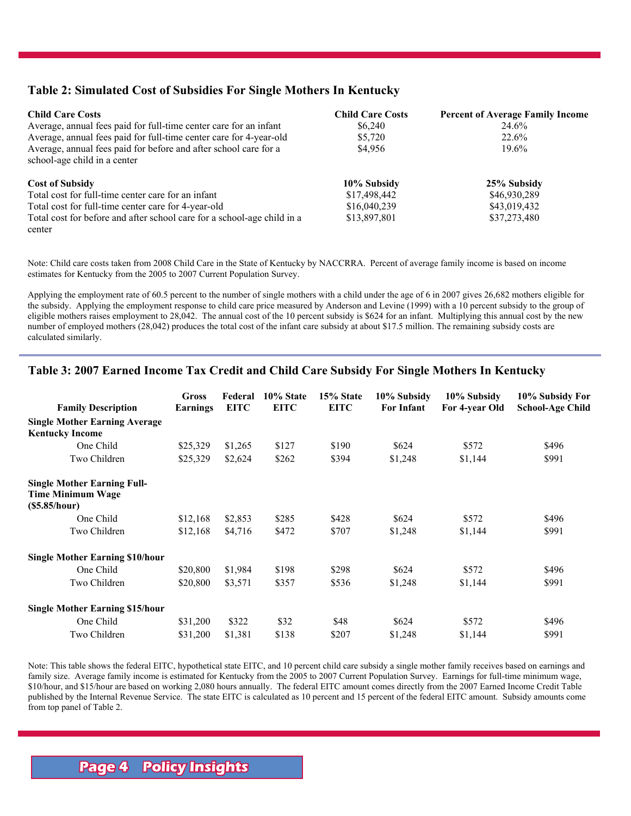#### **Table 2: Simulated Cost of Subsidies For Single Mothers In Kentucky**

| <b>Child Care Costs</b>                                                 | <b>Child Care Costs</b> | <b>Percent of Average Family Income</b> |  |  |
|-------------------------------------------------------------------------|-------------------------|-----------------------------------------|--|--|
| Average, annual fees paid for full-time center care for an infant       | \$6,240                 | 24.6%                                   |  |  |
| Average, annual fees paid for full-time center care for 4-year-old      | \$5,720                 | 22.6%<br>$19.6\%$                       |  |  |
| Average, annual fees paid for before and after school care for a        | \$4,956                 |                                         |  |  |
| school-age child in a center                                            |                         |                                         |  |  |
| <b>Cost of Subsidy</b>                                                  | 10% Subsidy             | 25% Subsidy                             |  |  |
| Total cost for full-time center care for an infant                      | \$17,498,442            | \$46,930,289                            |  |  |
| Total cost for full-time center care for 4-year-old                     | \$16,040,239            | \$43,019,432                            |  |  |
| Total cost for before and after school care for a school-age child in a | \$13,897,801            | \$37,273,480                            |  |  |
| center                                                                  |                         |                                         |  |  |

Note: Child care costs taken from 2008 Child Care in the State of Kentucky by NACCRRA. Percent of average family income is based on income estimates for Kentucky from the 2005 to 2007 Current Population Survey.

Applying the employment rate of 60.5 percent to the number of single mothers with a child under the age of 6 in 2007 gives 26,682 mothers eligible for the subsidy. Applying the employment response to child care price measured by Anderson and Levine (1999) with a 10 percent subsidy to the group of eligible mothers raises employment to 28,042. The annual cost of the 10 percent subsidy is \$624 for an infant. Multiplying this annual cost by the new number of employed mothers (28,042) produces the total cost of the infant care subsidy at about \$17.5 million. The remaining subsidy costs are calculated similarly.

#### **Table 3: 2007 Earned Income Tax Credit and Child Care Subsidy For Single Mothers In Kentucky**

|                                                                         | Gross    | Federal     | 10% State   | 15% State   | 10% Subsidy       | 10% Subsidy    | 10% Subsidy For         |
|-------------------------------------------------------------------------|----------|-------------|-------------|-------------|-------------------|----------------|-------------------------|
| <b>Family Description</b>                                               | Earnings | <b>EITC</b> | <b>EITC</b> | <b>EITC</b> | <b>For Infant</b> | For 4-year Old | <b>School-Age Child</b> |
| <b>Single Mother Earning Average</b><br><b>Kentucky Income</b>          |          |             |             |             |                   |                |                         |
| One Child                                                               | \$25,329 | \$1,265     | \$127       | \$190       | \$624             | \$572          | \$496                   |
| Two Children                                                            | \$25,329 | \$2,624     | \$262       | \$394       | \$1,248           | \$1,144        | \$991                   |
| <b>Single Mother Earning Full-</b><br>Time Minimum Wage<br>(S5.85/hour) |          |             |             |             |                   |                |                         |
| One Child                                                               | \$12,168 | \$2,853     | \$285       | \$428       | \$624             | \$572          | \$496                   |
| Two Children                                                            | \$12,168 | \$4,716     | \$472       | \$707       | \$1,248           | \$1,144        | \$991                   |
| <b>Single Mother Earning \$10/hour</b>                                  |          |             |             |             |                   |                |                         |
| One Child                                                               | \$20,800 | \$1,984     | \$198       | \$298       | \$624             | \$572          | \$496                   |
| Two Children                                                            | \$20,800 | \$3,571     | \$357       | \$536       | \$1,248           | \$1,144        | \$991                   |
| <b>Single Mother Earning \$15/hour</b>                                  |          |             |             |             |                   |                |                         |
| One Child                                                               | \$31,200 | \$322       | \$32        | \$48        | \$624             | \$572          | \$496                   |
| Two Children                                                            | \$31,200 | \$1,381     | \$138       | \$207       | \$1,248           | \$1,144        | \$991                   |

Note: This table shows the federal EITC, hypothetical state EITC, and 10 percent child care subsidy a single mother family receives based on earnings and family size. Average family income is estimated for Kentucky from the 2005 to 2007 Current Population Survey. Earnings for full-time minimum wage, \$10/hour, and \$15/hour are based on working 2,080 hours annually. The federal EITC amount comes directly from the 2007 Earned Income Credit Table published by the Internal Revenue Service. The state EITC is calculated as 10 percent and 15 percent of the federal EITC amount. Subsidy amounts come from top panel of Table 2.

## **Page 4 Policy Insights**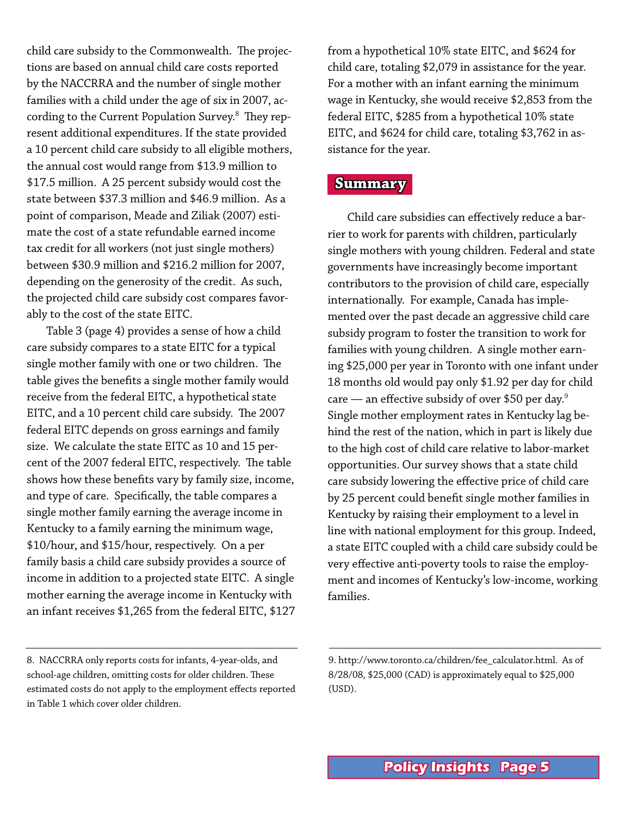child care subsidy to the Commonwealth. The projections are based on annual child care costs reported by the NACCRRA and the number of single mother families with a child under the age of six in 2007, according to the Current Population Survey. $^8\,$  They represent additional expenditures. If the state provided a 10 percent child care subsidy to all eligible mothers, the annual cost would range from \$13.9 million to \$17.5 million. A 25 percent subsidy would cost the state between \$37.3 million and \$46.9 million. As a point of comparison, Meade and Ziliak (2007) estimate the cost of a state refundable earned income tax credit for all workers (not just single mothers) between \$30.9 million and \$216.2 million for 2007, depending on the generosity of the credit. As such, the projected child care subsidy cost compares favorably to the cost of the state EITC.

 Table 3 (page 4) provides a sense of how a child care subsidy compares to a state EITC for a typical single mother family with one or two children. The table gives the benefits a single mother family would receive from the federal EITC, a hypothetical state EITC, and a 10 percent child care subsidy. The 2007 federal EITC depends on gross earnings and family size. We calculate the state EITC as 10 and 15 percent of the 2007 federal EITC, respectively. The table shows how these benefits vary by family size, income, and type of care. Specifically, the table compares a single mother family earning the average income in Kentucky to a family earning the minimum wage, \$10/hour, and \$15/hour, respectively. On a per family basis a child care subsidy provides a source of income in addition to a projected state EITC. A single mother earning the average income in Kentucky with an infant receives \$1,265 from the federal EITC, \$127

from a hypothetical 10% state EITC, and \$624 for child care, totaling \$2,079 in assistance for the year. For a mother with an infant earning the minimum wage in Kentucky, she would receive \$2,853 from the federal EITC, \$285 from a hypothetical 10% state EITC, and \$624 for child care, totaling \$3,762 in assistance for the year.

#### **Summary**

 Child care subsidies can effectively reduce a barrier to work for parents with children, particularly single mothers with young children. Federal and state governments have increasingly become important contributors to the provision of child care, especially internationally. For example, Canada has implemented over the past decade an aggressive child care subsidy program to foster the transition to work for families with young children. A single mother earning \$25,000 per year in Toronto with one infant under 18 months old would pay only \$1.92 per day for child care — an effective subsidy of over \$50 per day. $9$ Single mother employment rates in Kentucky lag behind the rest of the nation, which in part is likely due to the high cost of child care relative to labor-market opportunities. Our survey shows that a state child care subsidy lowering the effective price of child care by 25 percent could benefit single mother families in Kentucky by raising their employment to a level in line with national employment for this group. Indeed, a state EITC coupled with a child care subsidy could be very effective anti-poverty tools to raise the employment and incomes of Kentucky's low-income, working families.

<sup>8.</sup> NACCRRA only reports costs for infants, 4-year-olds, and school-age children, omitting costs for older children. These estimated costs do not apply to the employment effects reported in Table 1 which cover older children.

<sup>9.</sup> http://www.toronto.ca/children/fee\_calculator.html. As of 8/28/08, \$25,000 (CAD) is approximately equal to \$25,000 (USD).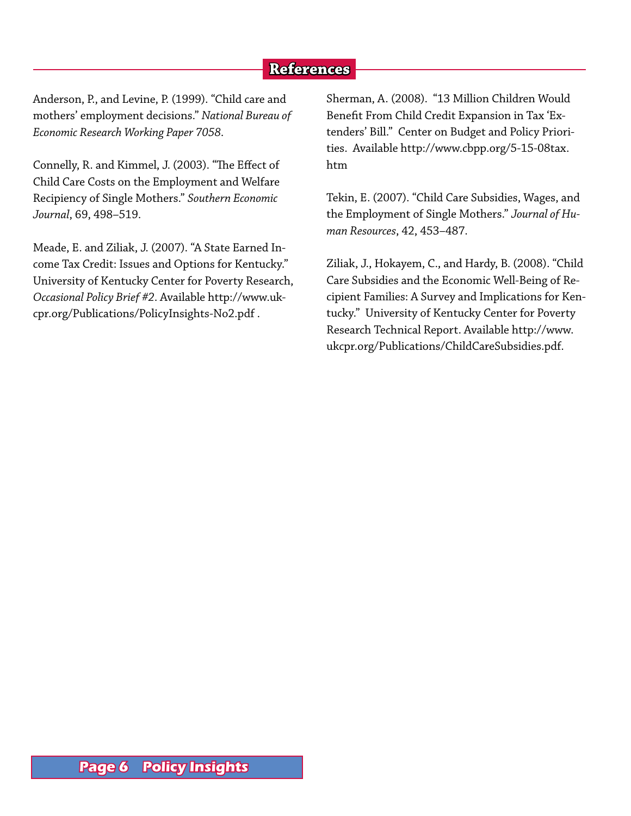## **References**

Anderson, P., and Levine, P. (1999). "Child care and mothers' employment decisions." *National Bureau of Economic Research Working Paper 7058*.

Connelly, R. and Kimmel, J. (2003). "The Effect of Child Care Costs on the Employment and Welfare Recipiency of Single Mothers." *Southern Economic Journal*, 69, 498–519.

Meade, E. and Ziliak, J. (2007). "A State Earned Income Tax Credit: Issues and Options for Kentucky." University of Kentucky Center for Poverty Research, *Occasional Policy Brief #2*. Available http://www.ukcpr.org/Publications/PolicyInsights-No2.pdf .

Sherman, A. (2008). "13 Million Children Would Benefit From Child Credit Expansion in Tax 'Extenders' Bill." Center on Budget and Policy Priorities. Available http://www.cbpp.org/5-15-08tax. htm

Tekin, E. (2007). "Child Care Subsidies, Wages, and the Employment of Single Mothers." *Journal of Human Resources*, 42, 453–487.

Ziliak, J., Hokayem, C., and Hardy, B. (2008). "Child Care Subsidies and the Economic Well-Being of Recipient Families: A Survey and Implications for Kentucky." University of Kentucky Center for Poverty Research Technical Report. Available http://www. ukcpr.org/Publications/ChildCareSubsidies.pdf.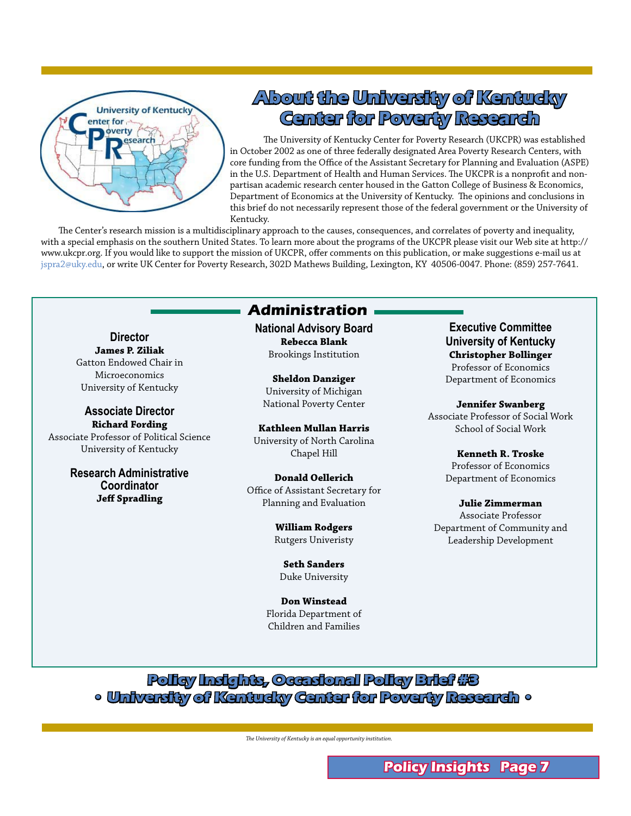

## **About the University of Kentucky Center for Poverty Research**

The University of Kentucky Center for Poverty Research (UKCPR) was established in October 2002 as one of three federally designated Area Poverty Research Centers, with core funding from the Office of the Assistant Secretary for Planning and Evaluation (ASPE) in the U.S. Department of Health and Human Services. The UKCPR is a nonprofit and nonpartisan academic research center housed in the Gatton College of Business & Economics, Department of Economics at the University of Kentucky. The opinions and conclusions in this brief do not necessarily represent those of the federal government or the University of Kentucky.

 The Center's research mission is a multidisciplinary approach to the causes, consequences, and correlates of poverty and inequality, with a special emphasis on the southern United States. To learn more about the programs of the UKCPR please visit our Web site at http:// www.ukcpr.org. If you would like to support the mission of UKCPR, offer comments on this publication, or make suggestions e-mail us at jspra2@uky.edu, or write UK Center for Poverty Research, 302D Mathews Building, Lexington, KY 40506-0047. Phone: (859) 257-7641.

### **Administration**

**Director James P. Ziliak** Gatton Endowed Chair in Microeconomics University of Kentucky

**Associate Director Richard Fording** Associate Professor of Political Science University of Kentucky

> **Research Administrative Coordinator Jeff Spradling**

**National Advisory Board Rebecca Blank** Brookings Institution

**Sheldon Danziger** University of Michigan National Poverty Center

**Kathleen Mullan Harris** University of North Carolina Chapel Hill

**Donald Oellerich** Office of Assistant Secretary for Planning and Evaluation

> **William Rodgers** Rutgers Univeristy

**Seth Sanders** Duke University

**Don Winstead** Florida Department of Children and Families

**Executive Committee University of Kentucky Christopher Bollinger** Professor of Economics Department of Economics

**Jennifer Swanberg** Associate Professor of Social Work School of Social Work

> **Kenneth R. Troske** Professor of Economics Department of Economics

**Julie Zimmerman** Associate Professor Department of Community and Leadership Development

**Policy Insights, Occasional Policy Brief #3 • University of Kentucky Center for Poverty Research •**

*The University of Kentucky is an equal opportunity institution.*

**Policy Insights Page**